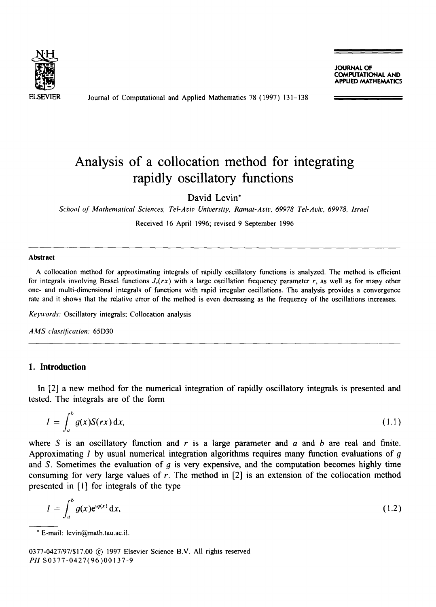

Journal of Computational and Applied Mathematics 78 (1997) 131-138

JOURNAL OF COMPUTATIONAL AND **PPLIED MATHEMATICS** 

# **Analysis of a collocation method for integrating rapidly oscillatory functions**

David Levin\*

*School o[ Mathematical Sciences, Tel-Aviv University, Ramat-Aviv, 69978 Tel-Aviv, 69978, Israel* 

Received 16 April 1996; revised 9 September 1996

#### **Abstract**

A collocation method for approximating integrals of rapidly oscillatory functions is analyzed. The method is efficient for integrals involving Bessel functions  $J_v(rx)$  with a large oscillation frequency parameter r, as well as for many other one- and multi-dimensional integrals of functions with rapid irregular oscillations. The analysis provides a convergence rate and it shows that the relative error of the method is even decreasing as the frequency of the oscillations increases.

*Ko'words.* Oscillatory integrals; Collocation analysis

*A MS class(fication.* 65D30

## **1. Introduction**

In [2] a new method for the numerical integration of rapidly oscillatory integrals is presented and tested. The integrals are of the form

$$
I = \int_{a}^{b} g(x)S(rx) dx,
$$
 (1.1)

where S is an oscillatory function and r is a large parameter and  $\alpha$  and  $\beta$  are real and finite. Approximating I by usual numerical integration algorithms requires many function evaluations of  $q$ and S. Sometimes the evaluation of  $q$  is very expensive, and the computation becomes highly time consuming for very large values of  $r$ . The method in  $[2]$  is an extension of the collocation method presented in [1] for integrals of the type

$$
I = \int_{a}^{b} g(x)e^{iq(x)} dx,
$$
 (1.2)

0377-0427/97/\$17.00 C 1997 Elsevier Science B.V. All rights reserved *Pll* S0377-0427(96)00137-9

**<sup>&</sup>quot;** E-mail: levin@math.tau.ac.il.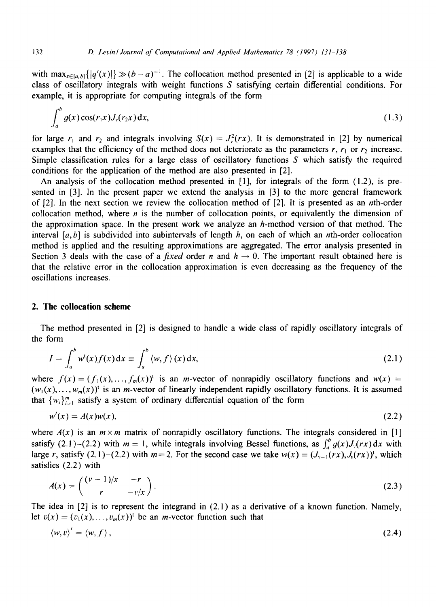with  $\max_{x \in [a,b]} { |q'(x)| } \gg (b-a)^{-1}$ . The collocation method presented in [2] is applicable to a wide class of oscillatory integrals with weight functions  $S$  satisfying certain differential conditions. For example, it is appropriate for computing integrals of the form

$$
\int_{a}^{b} g(x) \cos(r_1 x) J_{\nu}(r_2 x) dx,
$$
\n(1.3)

for large  $r_1$  and  $r_2$  and integrals involving  $S(x) = J_y^2(rx)$ . It is demonstrated in [2] by numerical examples that the efficiency of the method does not deteriorate as the parameters  $r$ ,  $r_1$  or  $r_2$  increase. Simple classification rules for a large class of oscillatory functions  $S$  which satisfy the required conditions for the application of the method are also presented in [2].

An analysis of the collocation method presented in [1], for integrals of the form (1.2), is presented in [3]. In the present paper we extend the analysis in [3] to the more general framework of [2]. In the next section we review the collocation method of [2]. It is presented as an nth-order collocation method, where *n* is the number of collocation points, or equivalently the dimension of the approximation space. In the present work we analyze an  $h$ -method version of that method. The interval  $[a,b]$  is subdivided into subintervals of length h, on each of which an nth-order collocation method is applied and the resulting approximations are aggregated. The error analysis presented in Section 3 deals with the case of a *fixed* order n and  $h \rightarrow 0$ . The important result obtained here is that the relative error in the collocation approximation is even decreasing as the frequency of the oscillations increases.

### **2. The collocation scheme**

The method presented in [2] is designed to handle a wide class of rapidly oscillatory integrals of the form

$$
I = \int_a^b w^t(x) f(x) dx \equiv \int_a^b \langle w, f \rangle(x) dx,
$$
 (2.1)

where  $f(x) = (f_1(x),..., f_m(x))$  is an *m*-vector of nonrapidly oscillatory functions and  $w(x) =$  $(w_1(x), \ldots, w_m(x))$ ' is an *m*-vector of linearly independent rapidly oscillatory functions. It is assumed that  $\{w_i\}_{i=1}^m$  satisfy a system of ordinary differential equation of the form

$$
w'(x) = A(x)w(x), \tag{2.2}
$$

where  $A(x)$  is an  $m \times m$  matrix of nonrapidly oscillatory functions. The integrals considered in [1] satisfy (2.1)-(2.2) with  $m = 1$ , while integrals involving Bessel functions, as  $\int_a^b g(x)J_\nu(rx) dx$  with large r, satisfy (2.1)-(2.2) with  $m = 2$ . For the second case we take  $w(x) = (J_{y-1}(rx), J_y(rx))^t$ , which satisfies (2.2) with

$$
A(x) = \begin{pmatrix} (v-1)/x & -r \\ r & -v/x \end{pmatrix}.
$$
 (2.3)

The idea in [2] is to represent the integrand in (2.1) as a derivative of a known function. Namely, let  $v(x) = (v_1(x), \ldots, v_m(x))$ <sup>t</sup> be an *m*-vector function such that

$$
\langle w, v \rangle' = \langle w, f \rangle, \tag{2.4}
$$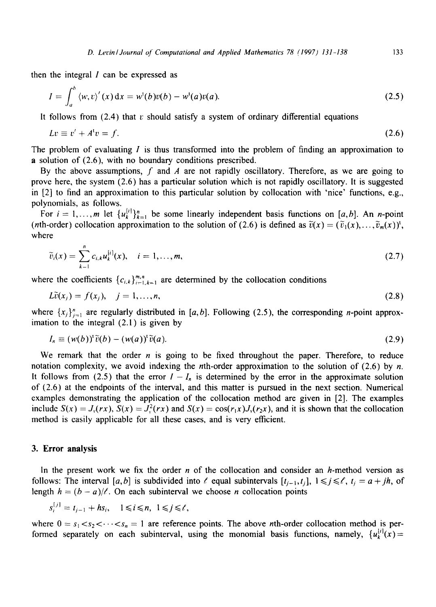then the integral  $I$  can be expressed as

$$
I = \int_{a}^{b} \langle w, v \rangle'(x) dx = w^{t}(b)v(b) - w^{t}(a)v(a).
$$
 (2.5)

It follows from  $(2.4)$  that v should satisfy a system of ordinary differential equations

$$
Lv \equiv v' + A^{\dagger}v = f. \tag{2.6}
$$

The problem of evaluating I is thus transformed into the problem of finding an approximation to a solution of (2.6), with no boundary conditions prescribed.

By the above assumptions, f and A are not rapidly oscillatory. Therefore, as we are going to prove here, the system (2.6) has a particular solution which is not rapidly oscillatory. It is suggested in [2] to find an approximation to this particular solution by collocation with 'nice' functions, e.g., polynomials, as follows.

For  $i=1,...,m$  let  $\{u_k^{[i]}\}_{k=1}^n$  be some linearly independent basis functions on [a, b]. An n-point (*nth*-order) collocation approximation to the solution of (2.6) is defined as  $\tilde{v}(x) = (\tilde{v}_1(x),...,\tilde{v}_m(x))$ <sup>t</sup>, where

$$
\widetilde{v}_i(x) = \sum_{k=1}^n c_{i,k} u_k^{[i]}(x), \quad i = 1, ..., m,
$$
\n(2.7)

where the coefficients  ${c_{i,k}}_{i=1,k=1}^{m,n}$  are determined by the collocation conditions

$$
L\tilde{v}(x_j) = f(x_j), \quad j = 1,\ldots,n,\tag{2.8}
$$

where  $\{x_j\}_{j=1}^n$  are regularly distributed in [a, b]. Following (2.5), the corresponding n-point approximation to the integral (2.1) is given by

$$
I_n \equiv (w(b))^{\dagger} \tilde{v}(b) - (w(a))^{\dagger} \tilde{v}(a). \tag{2.9}
$$

We remark that the order  $n$  is going to be fixed throughout the paper. Therefore, to reduce notation complexity, we avoid indexing the *n*th-order approximation to the solution of  $(2.6)$  by *n*. It follows from (2.5) that the error  $I - I_n$  is determined by the error in the approximate solution of (2.6) at the endpoints of the interval, and this matter is pursued in the next section. Numerical examples demonstrating the application of the collocation method are given in [2]. The examples include  $S(x) = J_r(rx)$ ,  $S(x) = J_r^2(rx)$  and  $S(x) = \cos(r_1x)J_r(r_2x)$ , and it is shown that the collocation method is easily applicable for all these cases, and is very efficient.

#### **3. Error analysis**

In the present work we fix the order n of the collocation and consider an h-method version as follows: The interval [a, b] is subdivided into  $\ell$  equal subintervals  $[t_{i-1}, t_i]$ ,  $1 \leq j \leq \ell$ ,  $t_i = a + jh$ , of length  $h = (b - a)/\ell$ . On each subinterval we choose *n* collocation points

$$
s_i^{[j]} = t_{j-1} + h s_i, \quad 1 \le i \le n, \ 1 \le j \le \ell,
$$

where  $0 = s_1 < s_2 < \cdots < s_n = 1$  are reference points. The above *n*th-order collocation method is performed separately on each subinterval, using the monomial basis functions, namely,  $\{u_k^{[i]}(x)=$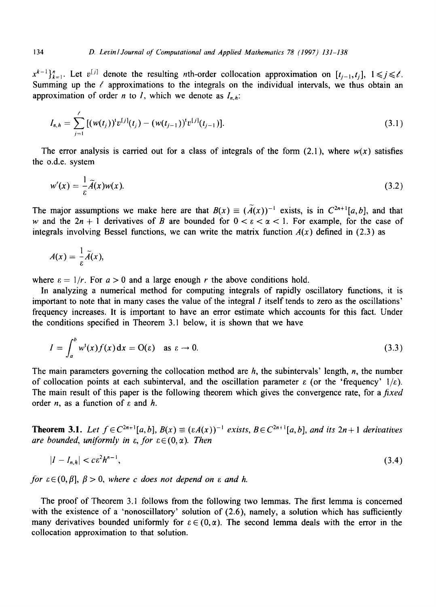$x^{k-1}$  $\}_{k=1}^{n}$ . Let  $v^{[j]}$  denote the resulting *n*th-order collocation approximation on  $[t_{j-1}, t_j]$ ,  $1 \le j \le \ell$ . Summing up the  $\ell$  approximations to the integrals on the individual intervals, we thus obtain an approximation of order *n* to *l*, which we denote as  $I_{n,h}$ :

$$
I_{n,h} = \sum_{j=1}^{\ell} \left[ (w(t_j))^t v^{[j]}(t_j) - (w(t_{j-1}))^t v^{[j]}(t_{j-1}) \right]. \tag{3.1}
$$

The error analysis is carried out for a class of integrals of the form  $(2.1)$ , where  $w(x)$  satisfies the o.d.e, system

$$
w'(x) = \frac{1}{\varepsilon} \widetilde{A}(x) w(x).
$$
 (3.2)

The major assumptions we make here are that  $B(x) \equiv (\tilde{A}(x))^{-1}$  exists, is in  $C^{2n+1}[a,b]$ , and that w and the  $2n + 1$  derivatives of B are bounded for  $0 < \varepsilon < \alpha < 1$ . For example, for the case of integrals involving Bessel functions, we can write the matrix function  $A(x)$  defined in (2.3) as

$$
A(x)=\frac{1}{\varepsilon}\widetilde{A}(x),
$$

where  $\varepsilon = 1/r$ . For  $a > 0$  and a large enough r the above conditions hold.

In analyzing a numerical method for computing integrals of rapidly oscillatory functions, it is important to note that in many cases the value of the integral  $I$  itself tends to zero as the oscillations' frequency increases. It is important to have an error estimate which accounts for this fact. Under the conditions specified in Theorem 3.1 below, it is shown that we have

$$
I = \int_{a}^{b} w^{t}(x)f(x) dx = O(\varepsilon) \quad \text{as } \varepsilon \to 0.
$$
 (3.3)

The main parameters governing the collocation method are  $h$ , the subintervals' length,  $n$ , the number of collocation points at each subinterval, and the oscillation parameter  $\varepsilon$  (or the 'frequency'  $1/\varepsilon$ ). The main result of this paper is the following theorem which gives the convergence rate, for a *fixed*  order *n*, as a function of  $\varepsilon$  and *h*.

**Theorem 3.1.** Let  $f \in C^{2n+1}[a,b], B(x) \equiv (\varepsilon A(x))^{-1}$  exists,  $B \in C^{2n+1}[a,b]$ , and its  $2n+1$  derivatives *are bounded, uniformly in*  $\varepsilon$ *, for*  $\varepsilon \in (0, \alpha)$ *. Then* 

$$
|I - I_{n,h}| < c\epsilon^2 h^{n-1},\tag{3.4}
$$

*for*  $\varepsilon \in (0, \beta], \ \beta > 0$ , *where c does not depend on*  $\varepsilon$  *and h.* 

The proof of Theorem 3.1 follows from the following two lemmas. The first lemma is concerned with the existence of a 'nonoscillatory' solution of  $(2.6)$ , namely, a solution which has sufficiently many derivatives bounded uniformly for  $\varepsilon \in (0,\alpha)$ . The second lemma deals with the error in the collocation approximation to that solution.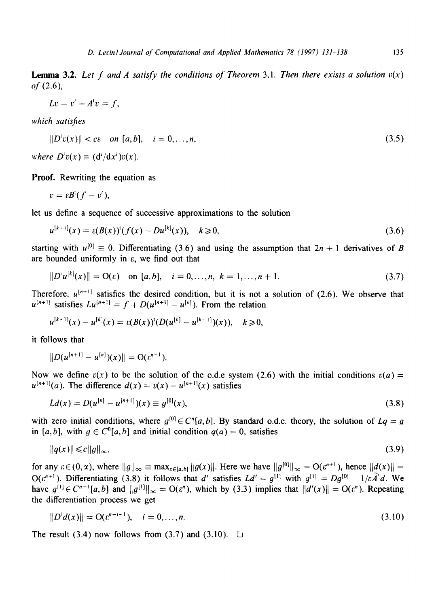**Lemma 3.2.** Let f and A satisfy the conditions of Theorem 3.1. Then there exists a solution  $v(x)$  $of (2.6),$ 

$$
Lv = v' + A^{\iota}v = f,
$$

*which satisfies* 

$$
||D^{\prime}v(x)|| < c\epsilon \quad \text{on } [a,b], \quad i = 0,\ldots,n,
$$
\n
$$
(3.5)
$$

*where*  $D^i v(x) \equiv (d^i/dx^i)v(x)$ .

**Proof.** Rewriting the equation as

$$
v=\varepsilon B^{\mathfrak{t}}(f-v'),
$$

let us define a sequence of successive approximations to the solution

$$
u^{[k+1]}(x) = \varepsilon (B(x))^t (f(x) - Du^{[k]}(x)), \quad k \ge 0,
$$
\n(3.6)

starting with  $u^{[0]} \equiv 0$ . Differentiating (3.6) and using the assumption that  $2n + 1$  derivatives of B are bounded uniformly in  $\varepsilon$ , we find out that

$$
||D'u^{[k]}(x)|| = O(\varepsilon) \quad \text{on } [a, b], \quad i = 0, \dots, n, \ k = 1, \dots, n + 1. \tag{3.7}
$$

Therefore,  $u^{[n+1]}$  satisfies the desired condition, but it is not a solution of (2.6). We observe that  $u^{[n+1]}$  satisfies  $Lu^{[n+1]} = f + D(u^{[n+1]} - u^{[n]})$ . From the relation

$$
u^{[k+1]}(x) - u^{[k]}(x) = \varepsilon(B(x))^{k} (D(u^{[k]} - u^{[k-1]})(x)), \quad k \geq 0,
$$

it follows that

$$
||D(u^{[n+1]} - u^{[n]})(x)|| = O(\varepsilon^{n+1}).
$$

Now we define  $v(x)$  to be the solution of the o.d.e system (2.6) with the initial conditions  $v(a) =$  $u^{(n+1)}(a)$ . The difference  $d(x) = v(x) - u^{(n+1)}(x)$  satisfies

$$
Ld(x) = D(u^{[n]} - u^{[n+1]})(x) \equiv g^{[0]}(x), \tag{3.8}
$$

with zero initial conditions, where  $g^{[0]} \in C^{n}[a, b]$ . By standard o.d.e. theory, the solution of  $Lq = g$ in [a, b], with  $g \in C^0[a, b]$  and initial condition  $q(a) = 0$ , satisfies

$$
\|q(x)\| \leqslant c \|g\|_{\infty},\tag{3.9}
$$

for any  $\varepsilon \in (0, \infty)$ , where  $||g||_{\infty} \equiv \max_{x \in [a, b]} ||g(x)||$ . Here we have  $||g^{[0]}||_{\infty} = O(\varepsilon^{n+1})$ , hence  $||d(x)|| =$  $O(\varepsilon^{n+1})$ . Differentiating (3.8) it follows that d' satisfies  $Ld' = g^{[1]}$  with  $g^{[1]} = Dg^{[0]} - 1/\varepsilon \tilde{A}'d$ . We have  $g^{[1]} \in C^{n-1}[a,b]$  and  $||g^{[1]}||_{\infty} = O(\varepsilon^n)$ , which by (3.3) implies that  $||d'(x)|| = O(\varepsilon^n)$ . Repeating the differentiation process we get

$$
||Di d(x)|| = O(\varepsilon^{n-i+1}), \quad i = 0, ..., n.
$$
 (3.10)

The result (3.4) now follows from (3.7) and (3.10).  $\Box$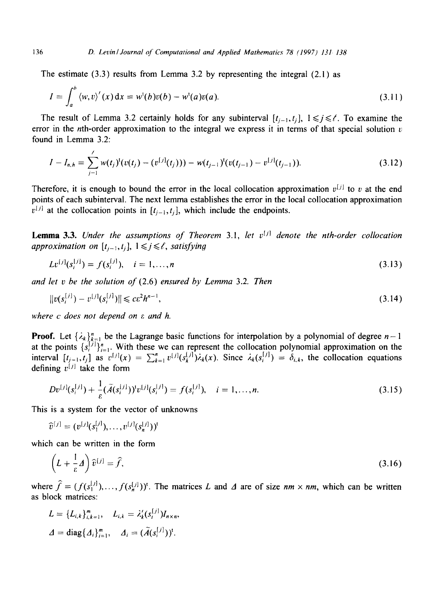The estimate  $(3.3)$  results from Lemma 3.2 by representing the integral  $(2.1)$  as

$$
I = \int_{a}^{b} \langle w, v \rangle'(x) dx = w^{t}(b)v(b) - w^{t}(a)v(a).
$$
 (3.11)

The result of Lemma 3.2 certainly holds for any subinterval  $[t_{i-1}, t_i]$ ,  $1 \le i \le \ell$ . To examine the error in the nth-order approximation to the integral we express it in terms of that special solution  $v$ found in Lemma 3.2:

$$
I - I_{n,h} = \sum_{j=1}^{'} w(t_j)^{t} (v(t_j) - (v^{[j]}(t_j))) - w(t_{j-1})^{t} (v(t_{j-1}) - v^{[j]}(t_{j-1})).
$$
\n(3.12)

Therefore, it is enough to bound the error in the local collocation approximation  $v^{[j]}$  to v at the end points of each subinterval. The next lemma establishes the error in the local collocation approximation  $v^{[j]}$  at the collocation points in  $[t_{j-1}, t_j]$ , which include the endpoints.

**Lemma 3.3.** *Under the assumptions of Theorem 3.1, let v<sup>[j]</sup> denote the nth-order collocation approximation on*  $[t_{i-1}, t_i]$ ,  $1 \leq j \leq \ell$ , satisfying

$$
Lv^{[j]}(s_i^{[j]}) = f(s_i^{[j]}), \quad i = 1, ..., n
$$
\n(3.13)

*and let v be the solution of* (2.6) *ensured by Lemma* 3.2. *Then* 

$$
||v(s_i^{[j]}) - v^{[j]}(s_i^{[j]})|| \le c\epsilon^2 h^{n-1},\tag{3.14}
$$

*where c does not depend on c and h.* 

!

**Proof.** Let  $\{\lambda_k\}_{k=1}^n$  be the Lagrange basic functions for interpolation by a polynomial of degree  $n-1$ at the points  $\{s_i^{(1)}\}_{i=1}^n$ . With these we can represent the collocation polynomial approximation on the interval  $[t_{i-1}, t_i]$  as  $v^{(1)}(x) = \sum_{k=1}^n v^{(1)}(s_k^{(1)}) \lambda_k(x)$ . Since  $\lambda_k(s_i^{(1)}) = \delta_{i,k}$ , the collocation equations defining  $v^{[j]}$  take the form

$$
Dv^{[j]}(s_i^{[j]}) + \frac{1}{\varepsilon}(\tilde{A}(s_i^{[j]}))^t v^{[j]}(s_i^{[j]}) = f(s_i^{[j]}), \quad i = 1, ..., n.
$$
\n(3.15)

This is a system for the vector of unknowns

$$
\widehat{v}^{[j]} = (v^{[j]}(s_1^{[j]}), \ldots, v^{[j]}(s_n^{[j]}))^{\mathrm{t}}
$$

which can be written in the form

$$
\left(L + \frac{1}{\varepsilon} \Delta\right) \widehat{v}^{[j]} = \widehat{f},\tag{3.16}
$$

where  $\hat{f} = (f(s_1^{[j]}),..., f(s_n^{[j]}))^t$ . The matrices L and A are of size  $nm \times nm$ , which can be written as block matrices:

$$
L = \{L_{i,k}\}_{i,k=1}^m, \quad L_{i,k} = \lambda'_k (s_i^{[j]}) I_{n \times n},
$$
  

$$
\Delta = \text{diag}\{ \Delta_i \}_{i=1}^m, \quad \Delta_i = (\widetilde{A}(s_i^{[j]}))^t.
$$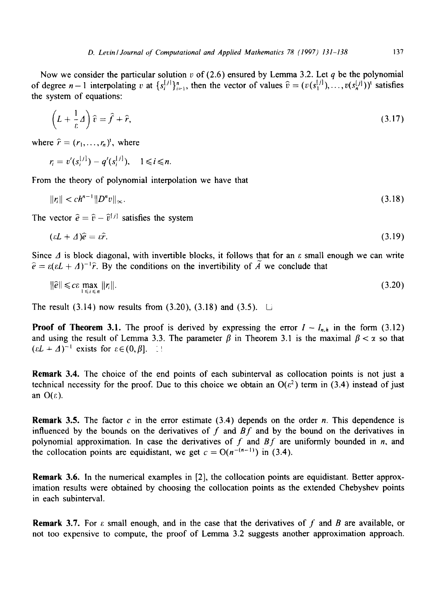Now we consider the particular solution v of (2.6) ensured by Lemma 3.2. Let q be the polynomial of degree  $n-1$  interpolating v at  $\{s_i^{[j]}\}_{i=1}^n$ , then the vector of values  $\hat{v} = (v(s_1^{[j]}), \ldots, v(s_n^{[j]}))^t$  satisfies the system of equations:

$$
\left(L + \frac{1}{\varepsilon}A\right)\hat{v} = \hat{f} + \hat{r},\tag{3.17}
$$

where  $\hat{r} = (r_1, \ldots, r_n)^t$ , where

$$
r_i = v'(s_i^{[j]}) - q'(s_i^{[j]}), \quad 1 \le i \le n.
$$

From the theory of polynomial interpolation we have that

$$
\|\eta\| < c h^{n-1} \|D^n v\|_{\infty}.\tag{3.18}
$$

The vector  $\hat{e} = \hat{v} - \hat{v}^{[j]}$  satisfies the system

$$
(\varepsilon L + \Delta)\hat{e} = \varepsilon \hat{r}.\tag{3.19}
$$

Since  $\Delta$  is block diagonal, with invertible blocks, it follows that for an  $\varepsilon$  small enough we can write  $\hat{e} = \varepsilon (\varepsilon L + \Delta)^{-1} \hat{r}$ . By the conditions on the invertibility of  $\tilde{A}$  we conclude that

$$
\|\hat{e}\| \leqslant c\varepsilon \max_{1 \leqslant i \leqslant n} \|r_i\|.\tag{3.20}
$$

The result  $(3.14)$  now results from  $(3.20)$ ,  $(3.18)$  and  $(3.5)$ .  $\Box$ 

**Proof of Theorem 3.1.** The proof is derived by expressing the error  $I - I_{n,h}$  in the form (3.12) and using the result of Lemma 3.3. The parameter  $\beta$  in Theorem 3.1 is the maximal  $\beta < \alpha$  so that  $(\varepsilon L + \Delta)^{-1}$  exists for  $\varepsilon \in (0, \beta]$ .  $\Box$ 

Remark 3.4. The choice of the end points of each subinterval as collocation points is not just a technical necessity for the proof. Due to this choice we obtain an  $O(\epsilon^2)$  term in (3.4) instead of just an  $O(\varepsilon)$ .

**Remark 3.5.** The factor c in the error estimate  $(3.4)$  depends on the order n. This dependence is influenced by the bounds on the derivatives of f and *Bf* and by the bound on the derivatives in polynomial approximation. In case the derivatives of  $f$  and  $Bf$  are uniformly bounded in n, and the collocation points are equidistant, we get  $c = O(n^{-(n-1)})$  in (3.4).

Remark 3.6. In the numerical examples in [2], the collocation points are equidistant. Better approximation results were obtained by choosing the collocation points as the extended Chebyshev points in each subinterval.

**Remark 3.7.** For  $\varepsilon$  small enough, and in the case that the derivatives of f and B are available, or not too expensive to compute, the proof of Lemma 3.2 suggests another approximation approach.